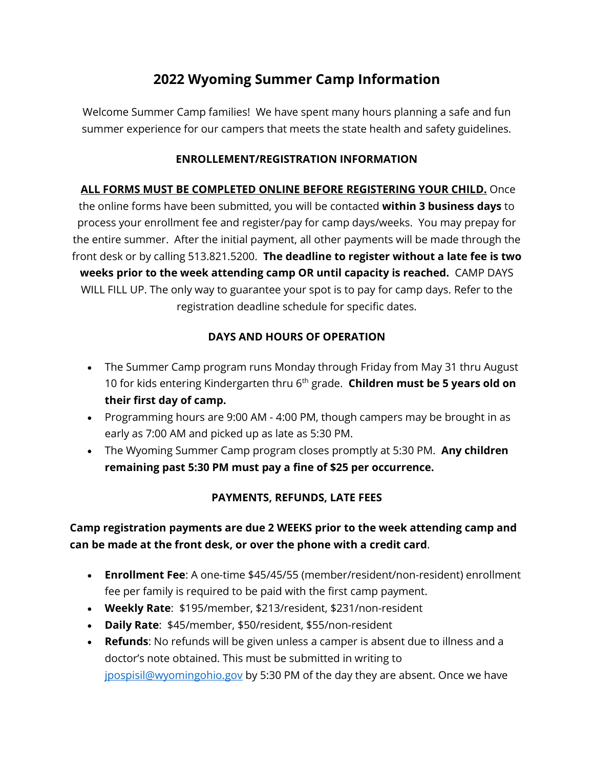# **2022 Wyoming Summer Camp Information**

Welcome Summer Camp families! We have spent many hours planning a safe and fun summer experience for our campers that meets the state health and safety guidelines.

#### **ENROLLEMENT/REGISTRATION INFORMATION**

**ALL FORMS MUST BE COMPLETED ONLINE BEFORE REGISTERING YOUR CHILD.** Once the online forms have been submitted, you will be contacted **within 3 business days** to process your enrollment fee and register/pay for camp days/weeks. You may prepay for the entire summer. After the initial payment, all other payments will be made through the front desk or by calling 513.821.5200. **The deadline to register without a late fee is two weeks prior to the week attending camp OR until capacity is reached.** CAMP DAYS WILL FILL UP. The only way to guarantee your spot is to pay for camp days. Refer to the registration deadline schedule for specific dates.

# **DAYS AND HOURS OF OPERATION**

- The Summer Camp program runs Monday through Friday from May 31 thru August 10 for kids entering Kindergarten thru 6th grade. **Children must be 5 years old on their first day of camp.**
- Programming hours are 9:00 AM 4:00 PM, though campers may be brought in as early as 7:00 AM and picked up as late as 5:30 PM.
- The Wyoming Summer Camp program closes promptly at 5:30 PM. **Any children remaining past 5:30 PM must pay a fine of \$25 per occurrence.**

# **PAYMENTS, REFUNDS, LATE FEES**

# **Camp registration payments are due 2 WEEKS prior to the week attending camp and can be made at the front desk, or over the phone with a credit card**.

- **Enrollment Fee**: A one-time \$45/45/55 (member/resident/non-resident) enrollment fee per family is required to be paid with the first camp payment.
- **Weekly Rate**: \$195/member, \$213/resident, \$231/non-resident
- **Daily Rate**: \$45/member, \$50/resident, \$55/non-resident
- **Refunds**: No refunds will be given unless a camper is absent due to illness and a doctor's note obtained. This must be submitted in writing to [jpospisil@wyomingohio.gov](mailto:jpospisil@wyomingohio.gov) by 5:30 PM of the day they are absent. Once we have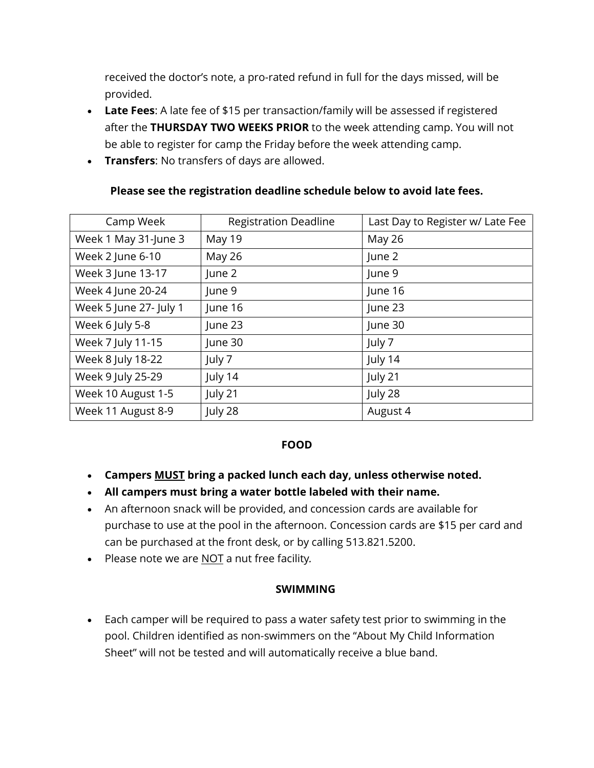received the doctor's note, a pro-rated refund in full for the days missed, will be provided.

- **Late Fees**: A late fee of \$15 per transaction/family will be assessed if registered after the **THURSDAY TWO WEEKS PRIOR** to the week attending camp. You will not be able to register for camp the Friday before the week attending camp.
- **Transfers**: No transfers of days are allowed.

| Camp Week              | <b>Registration Deadline</b> | Last Day to Register w/ Late Fee |
|------------------------|------------------------------|----------------------------------|
| Week 1 May 31-June 3   | May 19                       | May 26                           |
| Week 2 June 6-10       | May 26                       | June 2                           |
| Week 3 June 13-17      | June 2                       | June 9                           |
| Week 4 June 20-24      | June 9                       | June 16                          |
| Week 5 June 27- July 1 | June 16                      | June 23                          |
| Week 6 July 5-8        | June 23                      | June 30                          |
| Week 7 July 11-15      | June 30                      | July 7                           |
| Week 8 July 18-22      | July 7                       | July 14                          |
| Week 9 July 25-29      | July 14                      | July 21                          |
| Week 10 August 1-5     | July 21                      | July 28                          |
| Week 11 August 8-9     | July 28                      | August 4                         |

#### **Please see the registration deadline schedule below to avoid late fees.**

#### **FOOD**

- **Campers MUST bring a packed lunch each day, unless otherwise noted.**
- **All campers must bring a water bottle labeled with their name.**
- An afternoon snack will be provided, and concession cards are available for purchase to use at the pool in the afternoon. Concession cards are \$15 per card and can be purchased at the front desk, or by calling 513.821.5200.
- Please note we are NOT a nut free facility*.*

# **SWIMMING**

• Each camper will be required to pass a water safety test prior to swimming in the pool. Children identified as non-swimmers on the "About My Child Information Sheet" will not be tested and will automatically receive a blue band.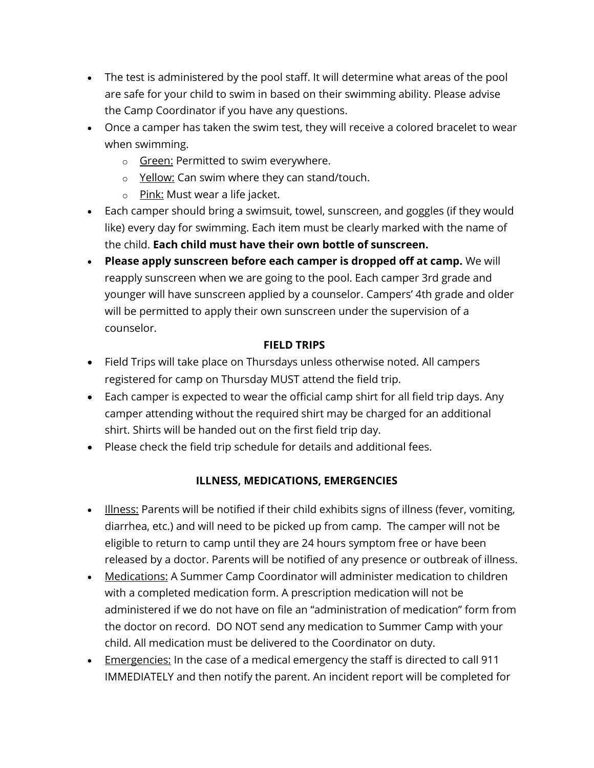- The test is administered by the pool staff. It will determine what areas of the pool are safe for your child to swim in based on their swimming ability. Please advise the Camp Coordinator if you have any questions.
- Once a camper has taken the swim test, they will receive a colored bracelet to wear when swimming.
	- o Green: Permitted to swim everywhere.
	- $\circ$  Yellow: Can swim where they can stand/touch.
	- o Pink: Must wear a life jacket.
- Each camper should bring a swimsuit, towel, sunscreen, and goggles (if they would like) every day for swimming. Each item must be clearly marked with the name of the child. **Each child must have their own bottle of sunscreen.**
- **Please apply sunscreen before each camper is dropped off at camp.** We will reapply sunscreen when we are going to the pool. Each camper 3rd grade and younger will have sunscreen applied by a counselor. Campers' 4th grade and older will be permitted to apply their own sunscreen under the supervision of a counselor.

# **FIELD TRIPS**

- Field Trips will take place on Thursdays unless otherwise noted. All campers registered for camp on Thursday MUST attend the field trip.
- Each camper is expected to wear the official camp shirt for all field trip days. Any camper attending without the required shirt may be charged for an additional shirt. Shirts will be handed out on the first field trip day.
- Please check the field trip schedule for details and additional fees.

# **ILLNESS, MEDICATIONS, EMERGENCIES**

- Illness: Parents will be notified if their child exhibits signs of illness (fever, vomiting, diarrhea, etc.) and will need to be picked up from camp. The camper will not be eligible to return to camp until they are 24 hours symptom free or have been released by a doctor. Parents will be notified of any presence or outbreak of illness.
- Medications: A Summer Camp Coordinator will administer medication to children with a completed medication form. A prescription medication will not be administered if we do not have on file an "administration of medication" form from the doctor on record. DO NOT send any medication to Summer Camp with your child. All medication must be delivered to the Coordinator on duty.
- Emergencies: In the case of a medical emergency the staff is directed to call 911 IMMEDIATELY and then notify the parent. An incident report will be completed for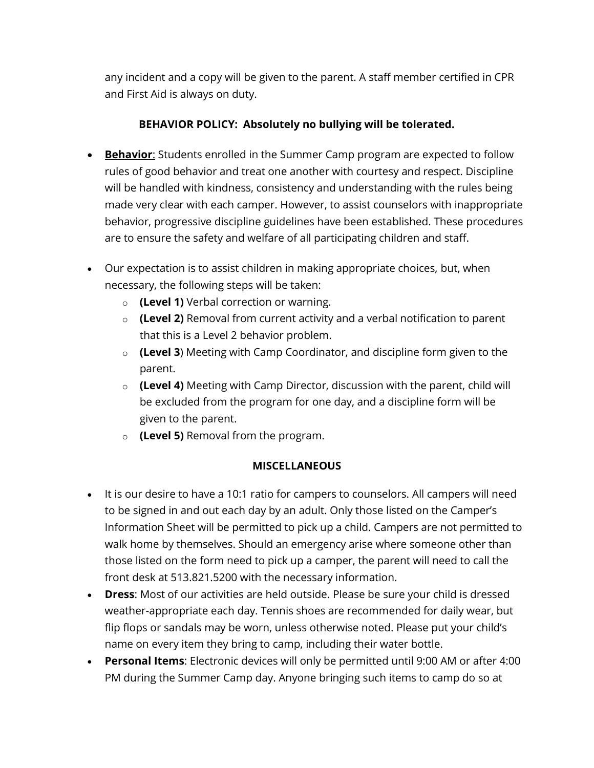any incident and a copy will be given to the parent. A staff member certified in CPR and First Aid is always on duty.

# **BEHAVIOR POLICY: Absolutely no bullying will be tolerated.**

- **Behavior**: Students enrolled in the Summer Camp program are expected to follow rules of good behavior and treat one another with courtesy and respect. Discipline will be handled with kindness, consistency and understanding with the rules being made very clear with each camper. However, to assist counselors with inappropriate behavior, progressive discipline guidelines have been established. These procedures are to ensure the safety and welfare of all participating children and staff.
- Our expectation is to assist children in making appropriate choices, but, when necessary, the following steps will be taken:
	- o **(Level 1)** Verbal correction or warning.
	- o **(Level 2)** Removal from current activity and a verbal notification to parent that this is a Level 2 behavior problem.
	- o **(Level 3**) Meeting with Camp Coordinator, and discipline form given to the parent.
	- o **(Level 4)** Meeting with Camp Director, discussion with the parent, child will be excluded from the program for one day, and a discipline form will be given to the parent.
	- o **(Level 5)** Removal from the program.

# **MISCELLANEOUS**

- It is our desire to have a 10:1 ratio for campers to counselors. All campers will need to be signed in and out each day by an adult. Only those listed on the Camper's Information Sheet will be permitted to pick up a child. Campers are not permitted to walk home by themselves. Should an emergency arise where someone other than those listed on the form need to pick up a camper, the parent will need to call the front desk at 513.821.5200 with the necessary information.
- **Dress**: Most of our activities are held outside. Please be sure your child is dressed weather-appropriate each day. Tennis shoes are recommended for daily wear, but flip flops or sandals may be worn, unless otherwise noted. Please put your child's name on every item they bring to camp, including their water bottle.
- **Personal Items**: Electronic devices will only be permitted until 9:00 AM or after 4:00 PM during the Summer Camp day. Anyone bringing such items to camp do so at